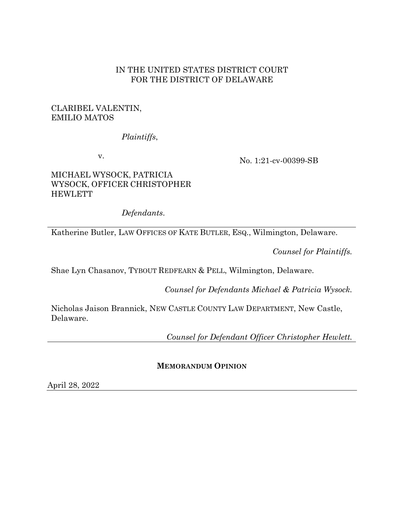## IN THE UNITED STATES DISTRICT COURT FOR THE DISTRICT OF DELAWARE

# CLARIBEL VALENTIN, EMILIO MATOS

## *Plaintiffs*,

v.

No. 1:21-cv-00399-SB

## MICHAEL WYSOCK, PATRICIA WYSOCK, OFFICER CHRISTOPHER **HEWLETT**

*Defendants*.

Katherine Butler, LAW OFFICES OF KATE BUTLER, ESQ., Wilmington, Delaware.

*Counsel for Plaintiffs.*

Shae Lyn Chasanov, TYBOUT REDFEARN & PELL, Wilmington, Delaware.

*Counsel for Defendants Michael & Patricia Wysock.*

Nicholas Jaison Brannick, NEW CASTLE COUNTY LAW DEPARTMENT, New Castle, Delaware.

*Counsel for Defendant Officer Christopher Hewlett.*

# **MEMORANDUM OPINION**

April 28, 2022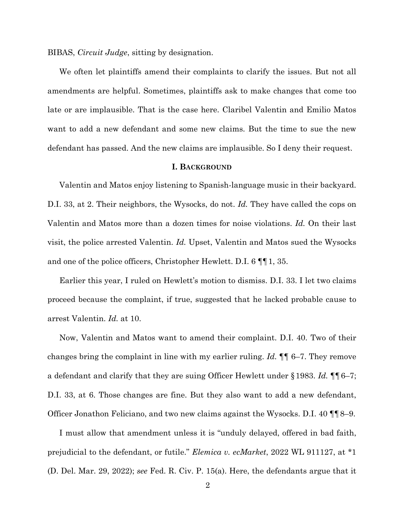BIBAS, *Circuit Judge*, sitting by designation.

We often let plaintiffs amend their complaints to clarify the issues. But not all amendments are helpful. Sometimes, plaintiffs ask to make changes that come too late or are implausible. That is the case here. Claribel Valentin and Emilio Matos want to add a new defendant and some new claims. But the time to sue the new defendant has passed. And the new claims are implausible. So I deny their request.

### **I. BACKGROUND**

Valentin and Matos enjoy listening to Spanish-language music in their backyard. D.I. 33, at 2. Their neighbors, the Wysocks, do not. *Id.* They have called the cops on Valentin and Matos more than a dozen times for noise violations. *Id.* On their last visit, the police arrested Valentin. *Id.* Upset, Valentin and Matos sued the Wysocks and one of the police officers, Christopher Hewlett. D.I. 6 ¶¶1, 35.

Earlier this year, I ruled on Hewlett's motion to dismiss. D.I. 33. I let two claims proceed because the complaint, if true, suggested that he lacked probable cause to arrest Valentin. *Id.* at 10.

Now, Valentin and Matos want to amend their complaint. D.I. 40. Two of their changes bring the complaint in line with my earlier ruling. *Id.* ¶¶ 6–7. They remove a defendant and clarify that they are suing Officer Hewlett under §1983. *Id.* ¶¶6–7; D.I. 33, at 6. Those changes are fine. But they also want to add a new defendant, Officer Jonathon Feliciano, and two new claims against the Wysocks. D.I. 40 ¶¶8–9.

I must allow that amendment unless it is "unduly delayed, offered in bad faith, prejudicial to the defendant, or futile." *Elemica v. ecMarket*, 2022 WL 911127, at \*1 (D. Del. Mar. 29, 2022); *see* Fed. R. Civ. P. 15(a). Here, the defendants argue that it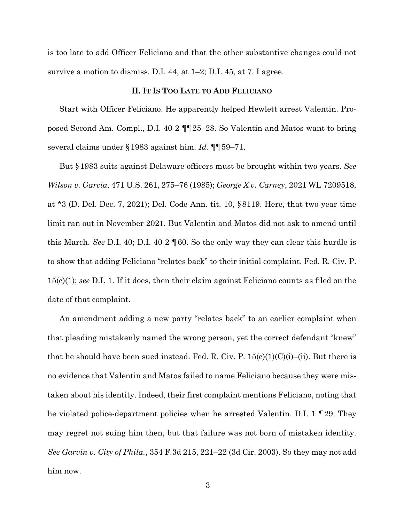is too late to add Officer Feliciano and that the other substantive changes could not survive a motion to dismiss. D.I. 44, at 1–2; D.I. 45, at 7. I agree.

### **II. IT IS TOO LATE TO ADD FELICIANO**

Start with Officer Feliciano. He apparently helped Hewlett arrest Valentin. Proposed Second Am. Compl., D.I. 40-2 ¶¶25–28. So Valentin and Matos want to bring several claims under §1983 against him. *Id.* ¶¶59–71.

But §1983 suits against Delaware officers must be brought within two years. *See Wilson v. Garcia*, 471 U.S. 261, 275–76 (1985); *George X v. Carney*, 2021 WL 7209518, at \*3 (D. Del. Dec. 7, 2021); Del. Code Ann. tit. 10, §8119. Here, that two-year time limit ran out in November 2021. But Valentin and Matos did not ask to amend until this March. *See* D.I. 40; D.I. 40-2 ¶60. So the only way they can clear this hurdle is to show that adding Feliciano "relates back" to their initial complaint. Fed. R. Civ. P. 15(c)(1); *see* D.I. 1. If it does, then their claim against Feliciano counts as filed on the date of that complaint.

An amendment adding a new party "relates back" to an earlier complaint when that pleading mistakenly named the wrong person, yet the correct defendant "knew" that he should have been sued instead. Fed. R. Civ. P.  $15(c)(1)(C(i)–(ii)$ . But there is no evidence that Valentin and Matos failed to name Feliciano because they were mistaken about his identity. Indeed, their first complaint mentions Feliciano, noting that he violated police-department policies when he arrested Valentin. D.I. 1 ¶29. They may regret not suing him then, but that failure was not born of mistaken identity. *See Garvin v. City of Phila.*, 354 F.3d 215, 221–22 (3d Cir. 2003). So they may not add him now.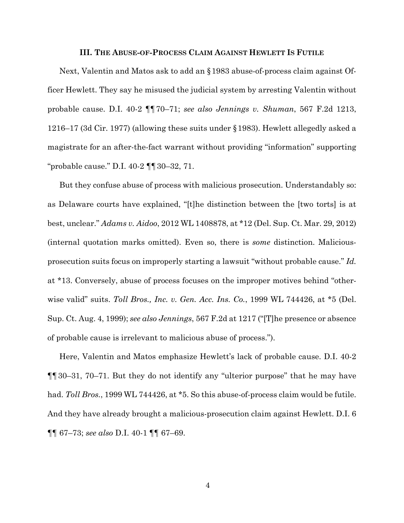#### **III. THE ABUSE-OF-PROCESS CLAIM AGAINST HEWLETT IS FUTILE**

Next, Valentin and Matos ask to add an §1983 abuse-of-process claim against Officer Hewlett. They say he misused the judicial system by arresting Valentin without probable cause. D.I. 40-2 ¶¶70–71; *see also Jennings v. Shuman*, 567 F.2d 1213, 1216–17 (3d Cir. 1977) (allowing these suits under §1983). Hewlett allegedly asked a magistrate for an after-the-fact warrant without providing "information" supporting "probable cause." D.I. 40-2 ¶¶30–32, 71.

But they confuse abuse of process with malicious prosecution. Understandably so: as Delaware courts have explained, "[t]he distinction between the [two torts] is at best, unclear." *Adams v. Aidoo*, 2012 WL 1408878, at \*12 (Del. Sup. Ct. Mar. 29, 2012) (internal quotation marks omitted). Even so, there is *some* distinction. Maliciousprosecution suits focus on improperly starting a lawsuit "without probable cause." *Id.* at \*13. Conversely, abuse of process focuses on the improper motives behind "otherwise valid" suits. *Toll Bros., Inc. v. Gen. Acc. Ins. Co.*, 1999 WL 744426, at \*5 (Del. Sup. Ct. Aug. 4, 1999); *see also Jennings*, 567 F.2d at 1217 ("[T]he presence or absence of probable cause is irrelevant to malicious abuse of process.").

Here, Valentin and Matos emphasize Hewlett's lack of probable cause. D.I. 40-2 ¶¶30–31, 70–71. But they do not identify any "ulterior purpose" that he may have had. *Toll Bros.*, 1999 WL 744426, at \*5. So this abuse-of-process claim would be futile. And they have already brought a malicious-prosecution claim against Hewlett. D.I. 6 ¶¶ 67–73; *see also* D.I. 40-1 ¶¶ 67–69.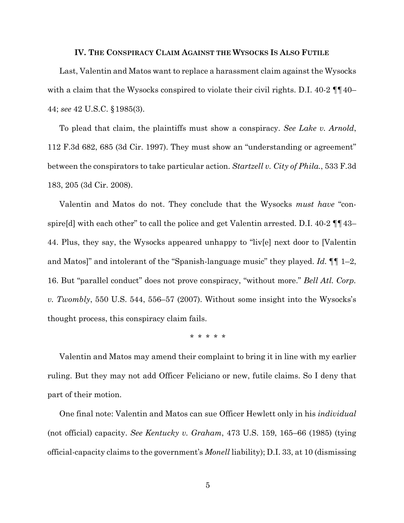#### **IV. THE CONSPIRACY CLAIM AGAINST THE WYSOCKS IS ALSO FUTILE**

Last, Valentin and Matos want to replace a harassment claim against the Wysocks with a claim that the Wysocks conspired to violate their civil rights. D.I. 40-2  $\P\P$ 40– 44; *see* 42 U.S.C. §1985(3).

To plead that claim, the plaintiffs must show a conspiracy. *See Lake v. Arnold*, 112 F.3d 682, 685 (3d Cir. 1997). They must show an "understanding or agreement" between the conspirators to take particular action. *Startzell v. City of Phila.*, 533 F.3d 183, 205 (3d Cir. 2008).

Valentin and Matos do not. They conclude that the Wysocks *must have* "conspire[d] with each other" to call the police and get Valentin arrested. D.I. 40-2  $\P\P$  43– 44. Plus, they say, the Wysocks appeared unhappy to "liv[e] next door to [Valentin and Matos]" and intolerant of the "Spanish-language music" they played. *Id.* ¶¶ 1–2, 16. But "parallel conduct" does not prove conspiracy, "without more." *Bell Atl. Corp. v. Twombly*, 550 U.S. 544, 556–57 (2007). Without some insight into the Wysocks's thought process, this conspiracy claim fails.

\* \* \* \* \*

Valentin and Matos may amend their complaint to bring it in line with my earlier ruling. But they may not add Officer Feliciano or new, futile claims. So I deny that part of their motion.

One final note: Valentin and Matos can sue Officer Hewlett only in his *individual* (not official) capacity. *See Kentucky v. Graham*, 473 U.S. 159, 165–66 (1985) (tying official-capacity claims to the government's *Monell* liability); D.I. 33, at 10 (dismissing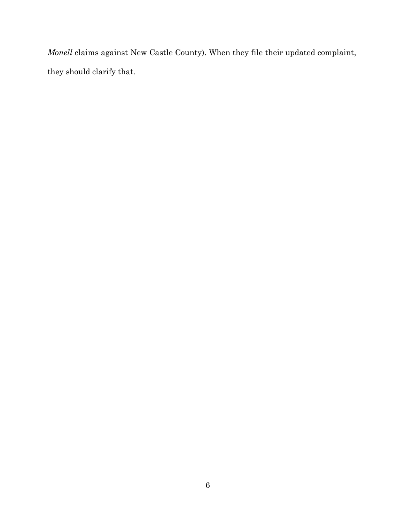*Monell* claims against New Castle County). When they file their updated complaint, they should clarify that.